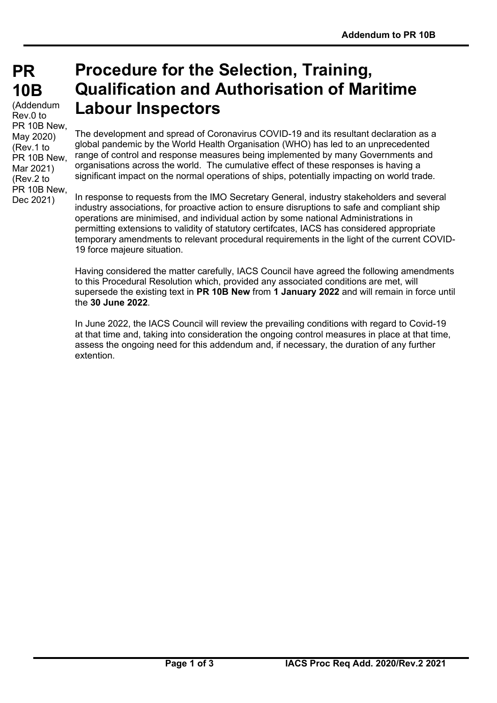# **PR PR 10B 10B**

(Addendum Rev.0 to PR 10B New, May 2020) (Rev.1 to PR 10B New, Mar 2021) (Rev.2 to PR 10B New, Dec 2021)

# **Procedure for the Selection, Training, Qualification and Authorisation of Maritime Labour Inspectors**

The development and spread of Coronavirus COVID-19 and its resultant declaration as a global pandemic by the World Health Organisation (WHO) has led to an unprecedented range of control and response measures being implemented by many Governments and organisations across the world. The cumulative effect of these responses is having a significant impact on the normal operations of ships, potentially impacting on world trade.

In response to requests from the IMO Secretary General, industry stakeholders and several industry associations, for proactive action to ensure disruptions to safe and compliant ship operations are minimised, and individual action by some national Administrations in permitting extensions to validity of statutory certifcates, IACS has considered appropriate temporary amendments to relevant procedural requirements in the light of the current COVID-19 force majeure situation.

Having considered the matter carefully, IACS Council have agreed the following amendments to this Procedural Resolution which, provided any associated conditions are met, will supersede the existing text in **PR 10B New** from **1 January 2022** and will remain in force until the **30 June 2022**.

In June 2022, the IACS Council will review the prevailing conditions with regard to Covid-19 at that time and, taking into consideration the ongoing control measures in place at that time, assess the ongoing need for this addendum and, if necessary, the duration of any further extention.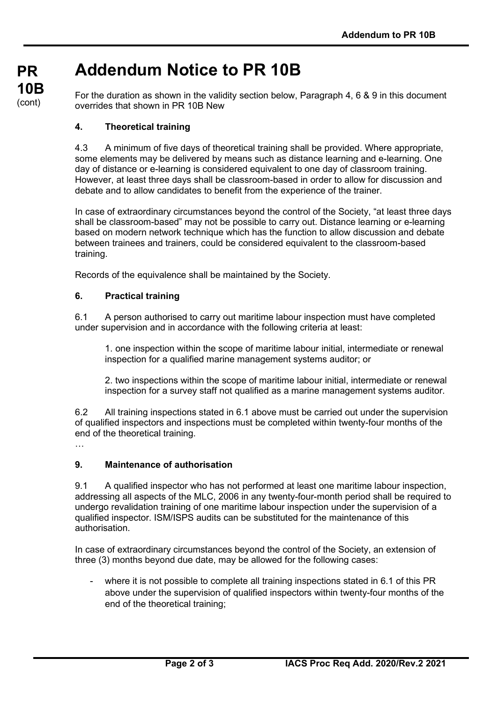# **Addendum Notice to PR 10B**

For the duration as shown in the validity section below, Paragraph 4, 6 & 9 in this document overrides that shown in PR 10B New

## **4. Theoretical training**

**PR**

**10B** (cont)

> 4.3 A minimum of five days of theoretical training shall be provided. Where appropriate, some elements may be delivered by means such as distance learning and e-learning. One day of distance or e-learning is considered equivalent to one day of classroom training. However, at least three days shall be classroom-based in order to allow for discussion and debate and to allow candidates to benefit from the experience of the trainer.

In case of extraordinary circumstances beyond the control of the Society, "at least three days shall be classroom-based" may not be possible to carry out. Distance learning or e-learning based on modern network technique which has the function to allow discussion and debate between trainees and trainers, could be considered equivalent to the classroom-based training.

Records of the equivalence shall be maintained by the Society.

### **6. Practical training**

6.1 A person authorised to carry out maritime labour inspection must have completed under supervision and in accordance with the following criteria at least:

1. one inspection within the scope of maritime labour initial, intermediate or renewal inspection for a qualified marine management systems auditor; or

2. two inspections within the scope of maritime labour initial, intermediate or renewal inspection for a survey staff not qualified as a marine management systems auditor.

6.2 All training inspections stated in 6.1 above must be carried out under the supervision of qualified inspectors and inspections must be completed within twenty-four months of the end of the theoretical training.

…

### **9. Maintenance of authorisation**

9.1 A qualified inspector who has not performed at least one maritime labour inspection, addressing all aspects of the MLC, 2006 in any twenty-four-month period shall be required to undergo revalidation training of one maritime labour inspection under the supervision of a qualified inspector. ISM/ISPS audits can be substituted for the maintenance of this authorisation.

In case of extraordinary circumstances beyond the control of the Society, an extension of three (3) months beyond due date, may be allowed for the following cases:

where it is not possible to complete all training inspections stated in 6.1 of this PR above under the supervision of qualified inspectors within twenty-four months of the end of the theoretical training;